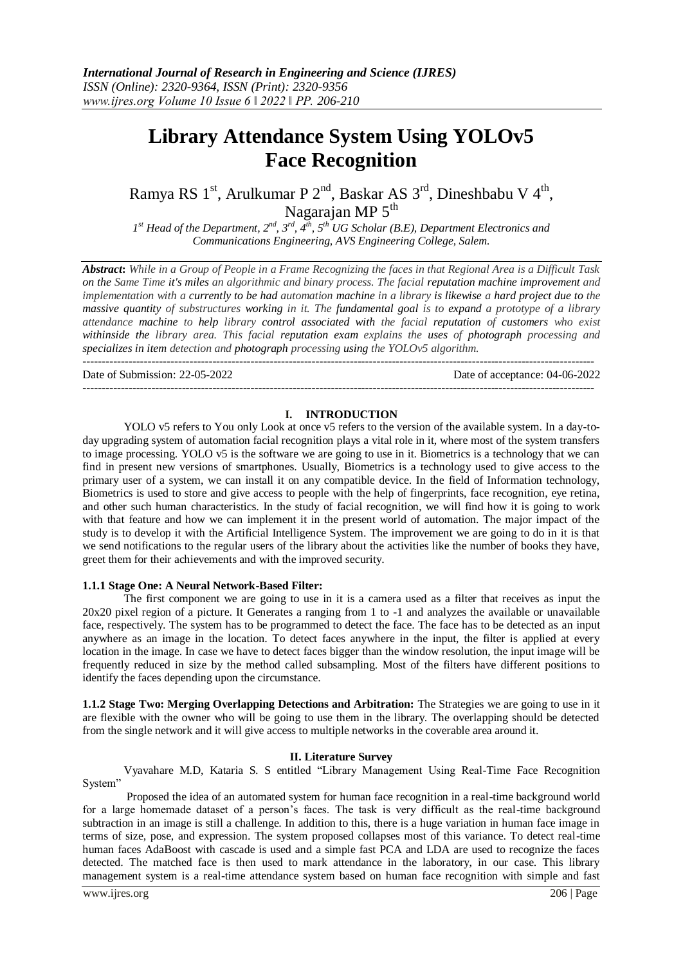# **Library Attendance System Using YOLOv5 Face Recognition**

Ramya RS 1<sup>st</sup>, Arulkumar P 2<sup>nd</sup>, Baskar AS 3<sup>rd</sup>, Dineshbabu V 4<sup>th</sup>, Nagarajan MP 5<sup>th</sup>

*1 st Head of the Department, 2nd, 3rd, 4th, 5th UG Scholar (B.E), Department Electronics and Communications Engineering, AVS Engineering College, Salem.*

*Abstract***:** *While in a Group of People in a Frame Recognizing the faces in that Regional Area is a Difficult Task on the Same Time it's miles an algorithmic and binary process. The facial reputation machine improvement and implementation with a currently to be had automation machine in a library is likewise a hard project due to the massive quantity of substructures working in it. The fundamental goal is to expand a prototype of a library attendance machine to help library control associated with the facial reputation of customers who exist withinside the library area. This facial reputation exam explains the uses of photograph processing and specializes in item detection and photograph processing using the YOLOv5 algorithm.*

Date of Submission: 22-05-2022 Date of acceptance: 04-06-2022

--------------------------------------------------------------------------------------------------------------------------------------

# --------------------------------------------------------------------------------------------------------------------------------------

#### **I. INTRODUCTION**

YOLO v5 refers to You only Look at once v5 refers to the version of the available system. In a day-today upgrading system of automation facial recognition plays a vital role in it, where most of the system transfers to image processing. YOLO v5 is the software we are going to use in it. Biometrics is a technology that we can find in present new versions of smartphones. Usually, Biometrics is a technology used to give access to the primary user of a system, we can install it on any compatible device. In the field of Information technology, Biometrics is used to store and give access to people with the help of fingerprints, face recognition, eye retina, and other such human characteristics. In the study of facial recognition, we will find how it is going to work with that feature and how we can implement it in the present world of automation. The major impact of the study is to develop it with the Artificial Intelligence System. The improvement we are going to do in it is that we send notifications to the regular users of the library about the activities like the number of books they have, greet them for their achievements and with the improved security.

#### **1.1.1 Stage One: A Neural Network-Based Filter:**

The first component we are going to use in it is a camera used as a filter that receives as input the 20x20 pixel region of a picture. It Generates a ranging from 1 to -1 and analyzes the available or unavailable face, respectively. The system has to be programmed to detect the face. The face has to be detected as an input anywhere as an image in the location. To detect faces anywhere in the input, the filter is applied at every location in the image. In case we have to detect faces bigger than the window resolution, the input image will be frequently reduced in size by the method called subsampling. Most of the filters have different positions to identify the faces depending upon the circumstance.

**1.1.2 Stage Two: Merging Overlapping Detections and Arbitration:** The Strategies we are going to use in it are flexible with the owner who will be going to use them in the library. The overlapping should be detected from the single network and it will give access to multiple networks in the coverable area around it.

# **II. Literature Survey**

Vyavahare M.D, Kataria S. S entitled "Library Management Using Real-Time Face Recognition System"

Proposed the idea of an automated system for human face recognition in a real-time background world for a large homemade dataset of a person's faces. The task is very difficult as the real-time background subtraction in an image is still a challenge. In addition to this, there is a huge variation in human face image in terms of size, pose, and expression. The system proposed collapses most of this variance. To detect real-time human faces AdaBoost with cascade is used and a simple fast PCA and LDA are used to recognize the faces detected. The matched face is then used to mark attendance in the laboratory, in our case. This library management system is a real-time attendance system based on human face recognition with simple and fast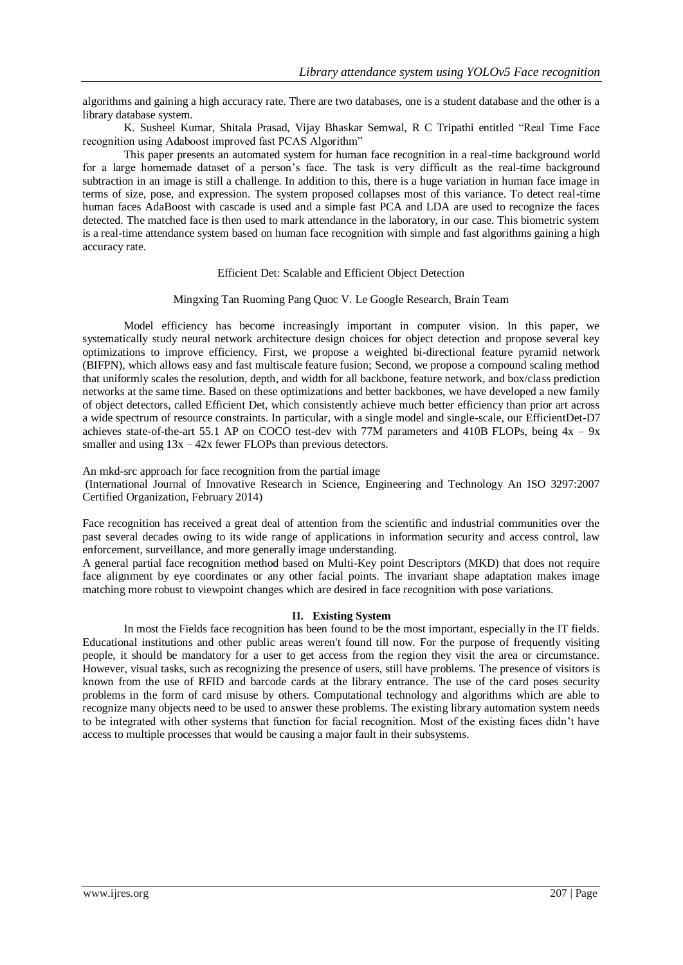algorithms and gaining a high accuracy rate. There are two databases, one is a student database and the other is a library database system.

K. Susheel Kumar, Shitala Prasad, Vijay Bhaskar Semwal, R C Tripathi entitled "Real Time Face recognition using Adaboost improved fast PCAS Algorithm"

This paper presents an automated system for human face recognition in a real-time background world for a large homemade dataset of a person's face. The task is very difficult as the real-time background subtraction in an image is still a challenge. In addition to this, there is a huge variation in human face image in terms of size, pose, and expression. The system proposed collapses most of this variance. To detect real-time human faces AdaBoost with cascade is used and a simple fast PCA and LDA are used to recognize the faces detected. The matched face is then used to mark attendance in the laboratory, in our case. This biometric system is a real-time attendance system based on human face recognition with simple and fast algorithms gaining a high accuracy rate.

#### Efficient Det: Scalable and Efficient Object Detection

#### Mingxing Tan Ruoming Pang Quoc V. Le Google Research, Brain Team

Model efficiency has become increasingly important in computer vision. In this paper, we systematically study neural network architecture design choices for object detection and propose several key optimizations to improve efficiency. First, we propose a weighted bi-directional feature pyramid network (BIFPN), which allows easy and fast multiscale feature fusion; Second, we propose a compound scaling method that uniformly scales the resolution, depth, and width for all backbone, feature network, and box/class prediction networks at the same time. Based on these optimizations and better backbones, we have developed a new family of object detectors, called Efficient Det, which consistently achieve much better efficiency than prior art across a wide spectrum of resource constraints. In particular, with a single model and single-scale, our EfficientDet-D7 achieves state-of-the-art 55.1 AP on COCO test-dev with 77M parameters and 410B FLOPs, being  $4x - 9x$ smaller and using  $13x - 42x$  fewer FLOPs than previous detectors.

An mkd-src approach for face recognition from the partial image

(International Journal of Innovative Research in Science, Engineering and Technology An ISO 3297:2007 Certified Organization, February 2014)

Face recognition has received a great deal of attention from the scientific and industrial communities over the past several decades owing to its wide range of applications in information security and access control, law enforcement, surveillance, and more generally image understanding.

A general partial face recognition method based on Multi-Key point Descriptors (MKD) that does not require face alignment by eye coordinates or any other facial points. The invariant shape adaptation makes image matching more robust to viewpoint changes which are desired in face recognition with pose variations.

# **II. Existing System**

In most the Fields face recognition has been found to be the most important, especially in the IT fields. Educational institutions and other public areas weren't found till now. For the purpose of frequently visiting people, it should be mandatory for a user to get access from the region they visit the area or circumstance. However, visual tasks, such as recognizing the presence of users, still have problems. The presence of visitors is known from the use of RFID and barcode cards at the library entrance. The use of the card poses security problems in the form of card misuse by others. Computational technology and algorithms which are able to recognize many objects need to be used to answer these problems. The existing library automation system needs to be integrated with other systems that function for facial recognition. Most of the existing faces didn't have access to multiple processes that would be causing a major fault in their subsystems.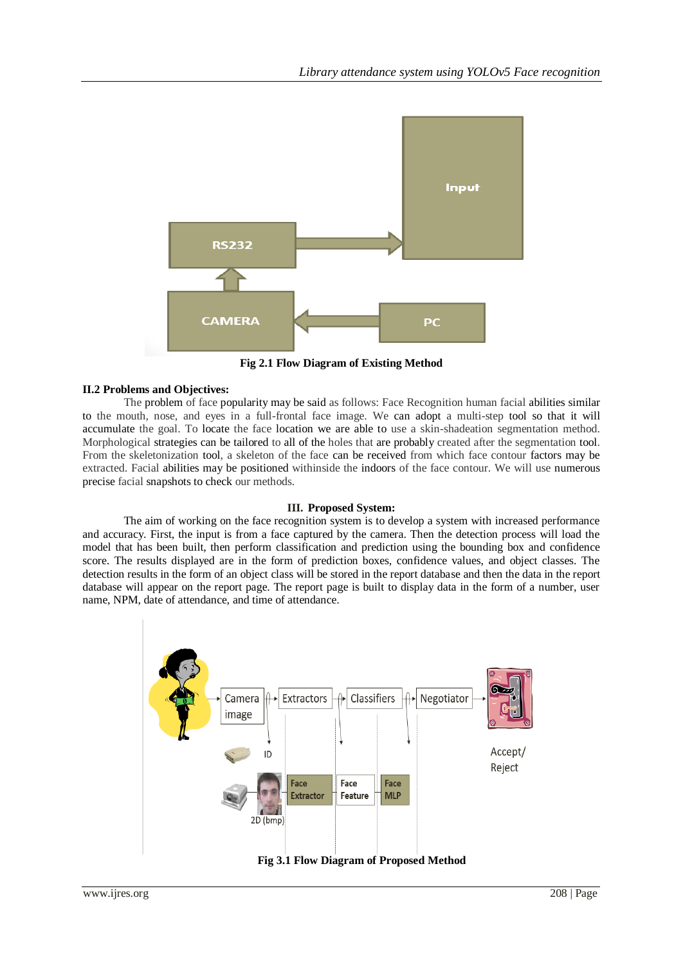

**Fig 2.1 Flow Diagram of Existing Method**

# **II.2 Problems and Objectives:**

The problem of face popularity may be said as follows: Face Recognition human facial abilities similar to the mouth, nose, and eyes in a full-frontal face image. We can adopt a multi-step tool so that it will accumulate the goal. To locate the face location we are able to use a skin-shadeation segmentation method. Morphological strategies can be tailored to all of the holes that are probably created after the segmentation tool. From the skeletonization tool, a skeleton of the face can be received from which face contour factors may be extracted. Facial abilities may be positioned withinside the indoors of the face contour. We will use numerous precise facial snapshots to check our methods.

# **III. Proposed System:**

The aim of working on the face recognition system is to develop a system with increased performance and accuracy. First, the input is from a face captured by the camera. Then the detection process will load the model that has been built, then perform classification and prediction using the bounding box and confidence score. The results displayed are in the form of prediction boxes, confidence values, and object classes. The detection results in the form of an object class will be stored in the report database and then the data in the report database will appear on the report page. The report page is built to display data in the form of a number, user name, NPM, date of attendance, and time of attendance.

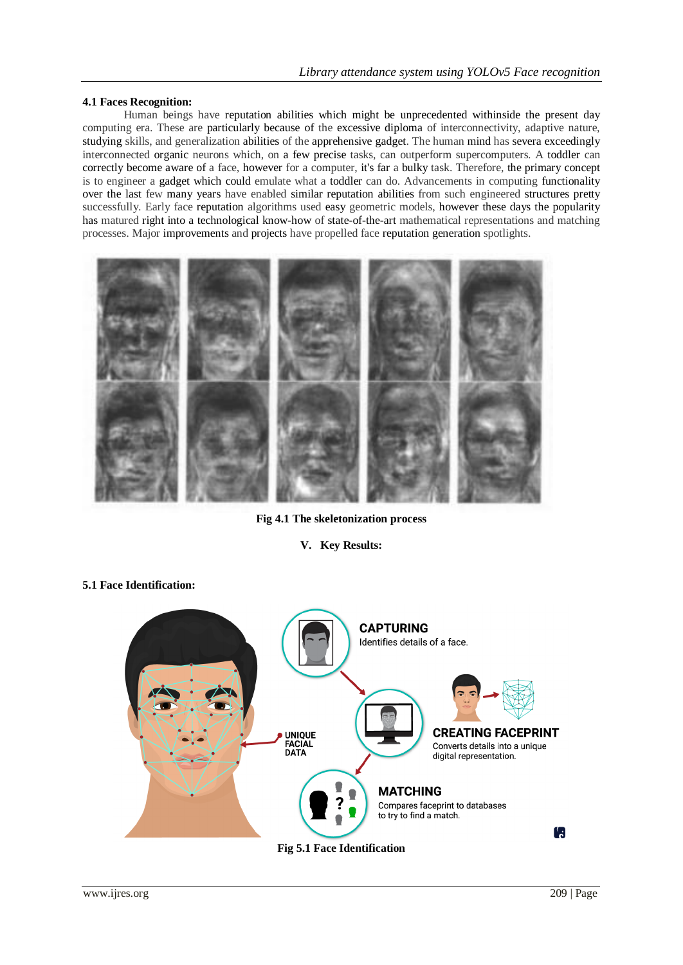# **4.1 Faces Recognition:**

Human beings have reputation abilities which might be unprecedented withinside the present day computing era. These are particularly because of the excessive diploma of interconnectivity, adaptive nature, studying skills, and generalization abilities of the apprehensive gadget. The human mind has severa exceedingly interconnected organic neurons which, on a few precise tasks, can outperform supercomputers. A toddler can correctly become aware of a face, however for a computer, it's far a bulky task. Therefore, the primary concept is to engineer a gadget which could emulate what a toddler can do. Advancements in computing functionality over the last few many years have enabled similar reputation abilities from such engineered structures pretty successfully. Early face reputation algorithms used easy geometric models, however these days the popularity has matured right into a technological know-how of state-of-the-art mathematical representations and matching processes. Major improvements and projects have propelled face reputation generation spotlights.



**Fig 4.1 The skeletonization process**

# **V. Key Results:**

# **5.1 Face Identification:**